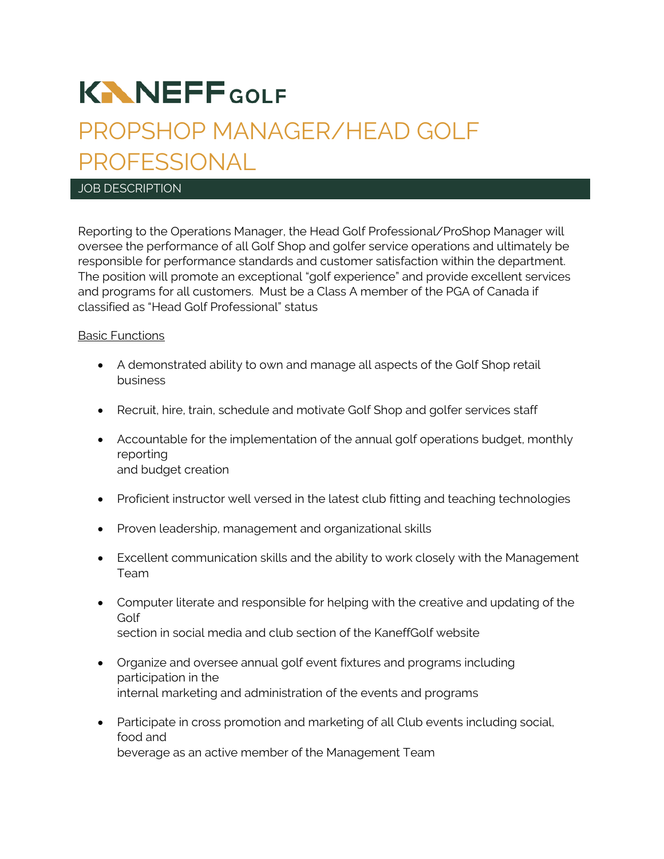# **KNNEFFGOLF**

# PROPSHOP MANAGER/HEAD GOLF PROFESSIONAL

#### JOB DESCRIPTION

Reporting to the Operations Manager, the Head Golf Professional/ProShop Manager will oversee the performance of all Golf Shop and golfer service operations and ultimately be responsible for performance standards and customer satisfaction within the department. The position will promote an exceptional "golf experience" and provide excellent services and programs for all customers. Must be a Class A member of the PGA of Canada if classified as "Head Golf Professional" status

#### Basic Functions

- A demonstrated ability to own and manage all aspects of the Golf Shop retail business
- Recruit, hire, train, schedule and motivate Golf Shop and golfer services staff
- Accountable for the implementation of the annual golf operations budget, monthly reporting and budget creation
- Proficient instructor well versed in the latest club fitting and teaching technologies
- Proven leadership, management and organizational skills
- Excellent communication skills and the ability to work closely with the Management Team
- Computer literate and responsible for helping with the creative and updating of the Golf section in social media and club section of the KaneffGolf website
- Organize and oversee annual golf event fixtures and programs including participation in the internal marketing and administration of the events and programs
- Participate in cross promotion and marketing of all Club events including social, food and beverage as an active member of the Management Team